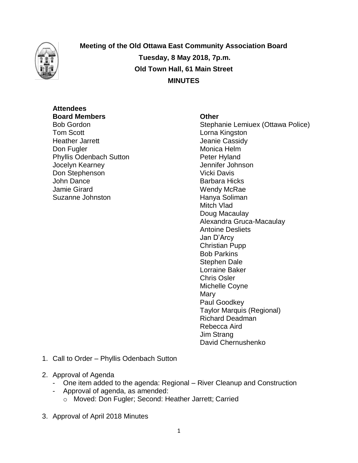

**Meeting of the Old Ottawa East Community Association Board Tuesday, 8 May 2018, 7p.m. Old Town Hall, 61 Main Street MINUTES**

# **Attendees Board Members Other**

**Tom Scott Lorna Kingston** Heather Jarrett **Gassidy** Jeanie Cassidy Don Fugler **Monica** Helm Phyllis Odenbach Sutton **Peter Hyland** Jocelyn Kearney Jennifer Johnson Don Stephenson Vicki Davis John Dance **Barbara Hicks** Jamie Girard Wendy McRae Suzanne Johnston **Hanya Soliman** 

Bob Gordon **Stephanie Lemiuex (Ottawa Police)** Mitch Vlad Doug Macaulay Alexandra Gruca-Macaulay Antoine Desliets Jan D'Arcy Christian Pupp Bob Parkins Stephen Dale Lorraine Baker Chris Osler Michelle Coyne **Mary** Paul Goodkey Taylor Marquis (Regional) Richard Deadman Rebecca Aird Jim Strang David Chernushenko

- 1. Call to Order Phyllis Odenbach Sutton
- 2. Approval of Agenda
	- One item added to the agenda: Regional River Cleanup and Construction
	- Approval of agenda, as amended:
		- o Moved: Don Fugler; Second: Heather Jarrett; Carried
- 3. Approval of April 2018 Minutes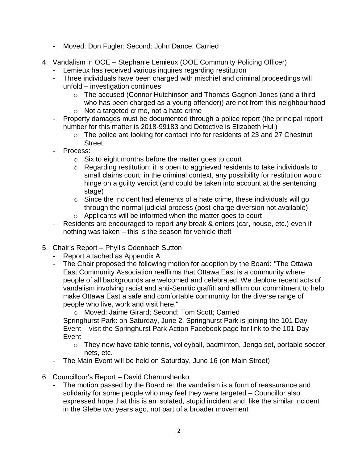- Moved: Don Fugler; Second: John Dance; Carried
- 4. Vandalism in OOE Stephanie Lemieux (OOE Community Policing Officer)
	- Lemieux has received various inquires regarding restitution
	- Three individuals have been charged with mischief and criminal proceedings will unfold – investigation continues
		- o The accused (Connor Hutchinson and Thomas Gagnon-Jones (and a third who has been charged as a young offender)) are not from this neighbourhood
		- o Not a targeted crime, not a hate crime
	- Property damages must be documented through a police report (the principal report number for this matter is 2018-99183 and Detective is Elizabeth Hull)
		- o The police are looking for contact info for residents of 23 and 27 Chestnut Street
	- Process:
		- $\circ$  Six to eight months before the matter goes to court
		- o Regarding restitution: it is open to aggrieved residents to take individuals to small claims court; in the criminal context, any possibility for restitution would hinge on a guilty verdict (and could be taken into account at the sentencing stage)
		- $\circ$  Since the incident had elements of a hate crime, these individuals will go through the normal judicial process (post-charge diversion not available)
		- o Applicants will be informed when the matter goes to court
	- Residents are encouraged to report *any* break & enters (car, house, etc.) even if nothing was taken – this is the season for vehicle theft
- 5. Chair's Report Phyllis Odenbach Sutton
	- Report attached as Appendix A
	- The Chair proposed the following motion for adoption by the Board: "The Ottawa East Community Association reaffirms that Ottawa East is a community where people of all backgrounds are welcomed and celebrated. We deplore recent acts of vandalism involving racist and anti-Semitic graffiti and affirm our commitment to help make Ottawa East a safe and comfortable community for the diverse range of people who live, work and visit here."
		- o Moved: Jaime Girard; Second: Tom Scott; Carried
	- Springhurst Park: on Saturday, June 2, Springhurst Park is joining the 101 Day Event – visit the Springhurst Park Action Facebook page for link to the 101 Day Event
		- o They now have table tennis, volleyball, badminton, Jenga set, portable soccer nets, etc.
	- The Main Event will be held on Saturday, June 16 (on Main Street)
- 6. Councillour's Report David Chernushenko
	- The motion passed by the Board re: the vandalism is a form of reassurance and solidarity for some people who may feel they were targeted – Councillor also expressed hope that this is an isolated, stupid incident and, like the similar incident in the Glebe two years ago, not part of a broader movement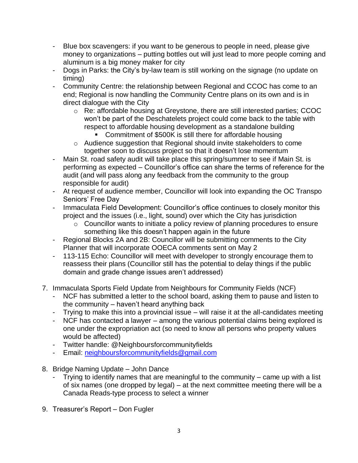- Blue box scavengers: if you want to be generous to people in need, please give money to organizations – putting bottles out will just lead to more people coming and aluminum is a big money maker for city
- Dogs in Parks: the City's by-law team is still working on the signage (no update on timing)
- Community Centre: the relationship between Regional and CCOC has come to an end; Regional is now handling the Community Centre plans on its own and is in direct dialogue with the City
	- o Re: affordable housing at Greystone, there are still interested parties; CCOC won't be part of the Deschatelets project could come back to the table with respect to affordable housing development as a standalone building
		- **Commitment of \$500K is still there for affordable housing**
	- o Audience suggestion that Regional should invite stakeholders to come together soon to discuss project so that it doesn't lose momentum
- Main St. road safety audit will take place this spring/summer to see if Main St. is performing as expected – Councillor's office can share the terms of reference for the audit (and will pass along any feedback from the community to the group responsible for audit)
- At request of audience member, Councillor will look into expanding the OC Transpo Seniors' Free Day
- Immaculata Field Development: Councillor's office continues to closely monitor this project and the issues (i.e., light, sound) over which the City has jurisdiction
	- o Councillor wants to initiate a policy review of planning procedures to ensure something like this doesn't happen again in the future
- Regional Blocks 2A and 2B: Councillor will be submitting comments to the City Planner that will incorporate OOECA comments sent on May 2
- 113-115 Echo: Councillor will meet with developer to strongly encourage them to reassess their plans (Councillor still has the potential to delay things if the public domain and grade change issues aren't addressed)
- 7. Immaculata Sports Field Update from Neighbours for Community Fields (NCF)
	- NCF has submitted a letter to the school board, asking them to pause and listen to the community – haven't heard anything back
	- Trying to make this into a provincial issue will raise it at the all-candidates meeting
	- NCF has contacted a lawyer among the various potential claims being explored is one under the expropriation act (so need to know all persons who property values would be affected)
	- Twitter handle: @Neighboursforcommunityfields
	- Email: [neighboursforcommunityfields@gmail.com](mailto:neighboursforcommunityfields@gmail.com)
- 8. Bridge Naming Update John Dance
	- Trying to identify names that are meaningful to the community  $-$  came up with a list of six names (one dropped by legal) – at the next committee meeting there will be a Canada Reads-type process to select a winner
- 9. Treasurer's Report Don Fugler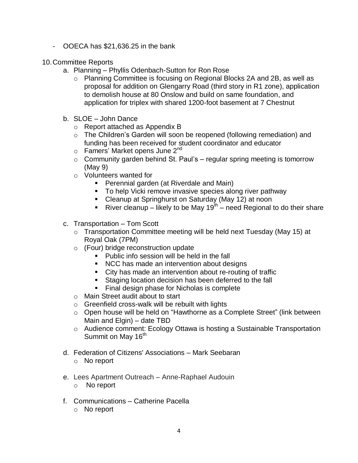- OOECA has \$21,636.25 in the bank
- 10.Committee Reports
	- a. Planning Phyllis Odenbach-Sutton for Ron Rose
		- o Planning Committee is focusing on Regional Blocks 2A and 2B, as well as proposal for addition on Glengarry Road (third story in R1 zone), application to demolish house at 80 Onslow and build on same foundation, and application for triplex with shared 1200-foot basement at 7 Chestnut
	- b. SLOE John Dance
		- o Report attached as Appendix B
		- o The Children's Garden will soon be reopened (following remediation) and funding has been received for student coordinator and educator
		- $\circ$  Famers' Market opens June 2<sup>nd</sup>
		- $\circ$  Community garden behind St. Paul's regular spring meeting is tomorrow (May 9)
		- o Volunteers wanted for
			- **Perennial garden (at Riverdale and Main)**
			- **To help Vicki remove invasive species along river pathway**
			- **EXTERN** Cleanup at Springhurst on Saturday (May 12) at noon
			- River cleanup likely to be May 19<sup>th</sup> need Regional to do their share
	- c. Transportation Tom Scott
		- o Transportation Committee meeting will be held next Tuesday (May 15) at Royal Oak (7PM)
		- o (Four) bridge reconstruction update
			- **Public info session will be held in the fall**
			- NCC has made an intervention about designs
			- City has made an intervention about re-routing of traffic
			- **Staging location decision has been deferred to the fall**
			- Final design phase for Nicholas is complete
		- o Main Street audit about to start
		- o Greenfield cross-walk will be rebuilt with lights
		- o Open house will be held on "Hawthorne as a Complete Street" (link between Main and Elgin) – date TBD
		- o Audience comment: Ecology Ottawa is hosting a Sustainable Transportation Summit on May 16<sup>th</sup>
	- d. Federation of Citizens' Associations Mark Seebaran
		- o No report
	- e. Lees Apartment Outreach Anne-Raphael Audouin
		- o No report
	- f. Communications Catherine Pacella
		- o No report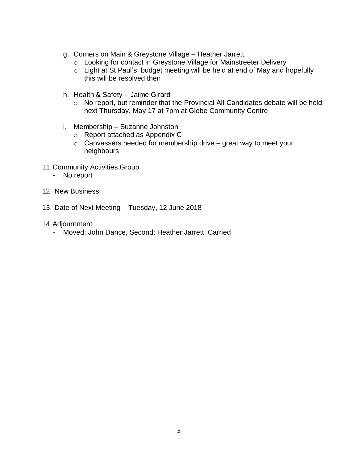- g. Corners on Main & Greystone Village Heather Jarrett
	- o Looking for contact in Greystone Village for Mainstreeter Delivery
	- o Light at St Paul's: budget meeting will be held at end of May and hopefully this will be resolved then
- h. Health & Safety Jaime Girard
	- o No report, but reminder that the Provincial All-Candidates debate will be held next Thursday, May 17 at 7pm at Glebe Community Centre
- i. Membership Suzanne Johnston
	- o Report attached as Appendix C
	- $\circ$  Canvassers needed for membership drive great way to meet your neighbours
- 11.Community Activities Group
	- No report
- 12. New Business
- 13. Date of Next Meeting Tuesday, 12 June 2018
- 14.Adjournment
	- Moved: John Dance, Second: Heather Jarrett; Carried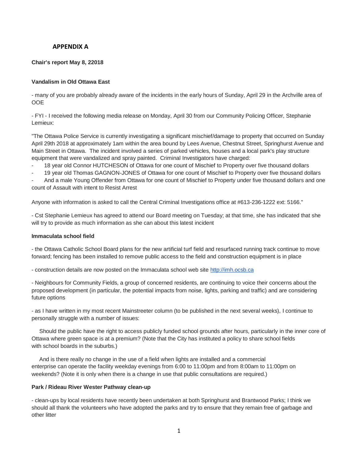# **APPENDIX A**

# **Chair's report May 8, 22018**

# **Vandalism in Old Ottawa East**

- many of you are probably already aware of the incidents in the early hours of Sunday, April 29 in the Archville area of OOE

- FYI - I received the following media release on Monday, April 30 from our Community Policing Officer, Stephanie Lemieux:

"The Ottawa Police Service is currently investigating a significant mischief/damage to property that occurred on Sunday April 29th 2018 at approximately 1am within the area bound by Lees Avenue, Chestnut Street, Springhurst Avenue and Main Street in Ottawa. The incident involved a series of parked vehicles, houses and a local park's play structure equipment that were vandalized and spray painted. Criminal Investigators have charged:

18 year old Connor HUTCHESON of Ottawa for one count of Mischief to Property over five thousand dollars

- 19 year old Thomas GAGNON-JONES of Ottawa for one count of Mischief to Property over five thousand dollars

And a male Young Offender from Ottawa for one count of Mischief to Property under five thousand dollars and one count of Assault with intent to Resist Arrest

Anyone with information is asked to call the Central Criminal Investigations office at #613-236-1222 ext: 5166."

- Cst Stephanie Lemieux has agreed to attend our Board meeting on Tuesday; at that time, she has indicated that she will try to provide as much information as she can about this latest incident

#### **Immaculata school field**

- the Ottawa Catholic School Board plans for the new artificial turf field and resurfaced running track continue to move forward; fencing has been installed to remove public access to the field and construction equipment is in place

- construction details are now posted on the Immaculata school web site [http://imh.ocsb.ca](http://imh.ocsb.ca/)

- Neighbours for Community Fields, a group of concerned residents, are continuing to voice their concerns about the proposed development (in particular, the potential impacts from noise, lights, parking and traffic) and are considering future options

- as I have written in my most recent Mainstreeter column (to be published in the next several weeks), I continue to personally struggle with a number of issues:

Should the public have the right to access publicly funded school grounds after hours, particularly in the inner core of Ottawa where green space is at a premium? (Note that the City has instituted a policy to share school fields with school boards in the suburbs.)

And is there really no change in the use of a field when lights are installed and a commercial enterprise can operate the facility weekday evenings from 6:00 to 11:00pm and from 8:00am to 11:00pm on weekends? (Note it is only when there is a change in use that public consultations are required.)

#### **Park / Rideau River Wester Pathway clean-up**

- clean-ups by local residents have recently been undertaken at both Springhurst and Brantwood Parks; I think we should all thank the volunteers who have adopted the parks and try to ensure that they remain free of garbage and other litter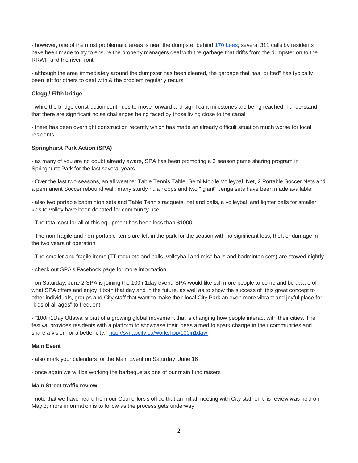- however, one of the most problematic areas is near the dumpster behind [170 Lees;](https://maps.google.com/?q=170+Lees&entry=gmail&source=g) several 311 calls by residents have been made to try to ensure the property managers deal with the garbage that drifts from the dumpster on to the RRWP and the river front

- although the area immediately around the dumpster has been cleared, the garbage that has "drifted" has typically been left for others to deal with & the problem regularly recurs

# **Clegg / Fifth bridge**

- while the bridge construction continues to move forward and significant milestones are being reached, I understand that there are significant noise challenges being faced by those living close to the canal

- there has been overnight construction recently which has made an already difficult situation much worse for local residents

# **Springhurst Park Action (SPA)**

- as many of you are no doubt already aware, SPA has been promoting a 3 season game sharing program in Springhurst Park for the last several years

- Over the last two seasons, an all weather Table Tennis Table, Semi Mobile Volleyball Net, 2 Portable Soccer Nets and a permanent Soccer rebound wall, many sturdy hula hoops and two " giant" Jenga sets have been made available

- also two portable badminton sets and Table Tennis racquets, net and balls, a volleyball and lighter balls for smaller kids to volley have been donated for community use

- The total cost for all of this equipment has been less than \$1000.

- The non-fragile and non-portable items are left in the park for the season with no significant loss, theft or damage in the two years of operation.

- The smaller and fragile items (TT racquets and balls, volleyball and misc balls and badminton sets) are stowed nightly.

- check out SPA's Facebook page for more information

- on Saturday, June 2 SPA is joining the 100in1day event; SPA would like still more people to come and be aware of what SPA offers and enjoy it both that day and in the future, as well as to show the success of this great concept to other individuals, groups and City staff that want to make their local City Park an even more vibrant and joyful place for "kids of all ages" to frequent

- "100in1Day Ottawa is part of a growing global movement that is changing how people interact with their cities. The festival provides residents with a platform to showcase their ideas aimed to spark change in their communities and share a vision for a better city." <http://synapcity.ca/workshop/100in1day/>

#### **Main Event**

- also mark your calendars for the Main Event on Saturday, June 16

- once again we will be working the barbeque as one of our main fund raisers

# **Main Street traffic review**

- note that we have heard from our Councillors's office that an initial meeting with City staff on this review was held on May 3; more information is to follow as the process gets underway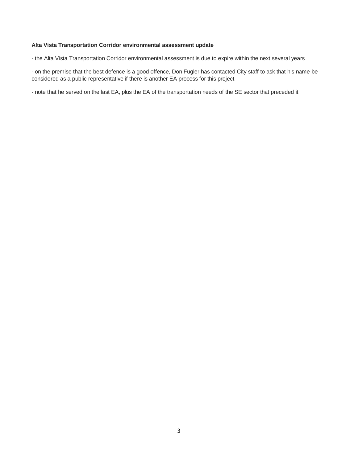#### **Alta Vista Transportation Corridor environmental assessment update**

- the Alta Vista Transportation Corridor environmental assessment is due to expire within the next several years

- on the premise that the best defence is a good offence, Don Fugler has contacted City staff to ask that his name be considered as a public representative if there is another EA process for this project

- note that he served on the last EA, plus the EA of the transportation needs of the SE sector that preceded it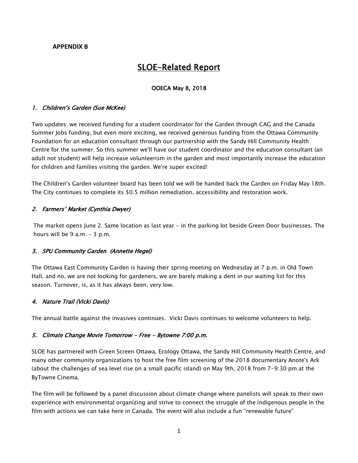# **APPENDIX B**

# SLOE-Related Report

# OOECA May 8, 2018

# 1. Children's Garden (Sue McKee)

Two updates: we received funding for a student coordinator for the Garden through CAG and the Canada Summer Jobs funding, but even more exciting, we received generous funding from the Ottawa Community Foundation for an education consultant through our partnership with the Sandy Hill Community Health Centre for the summer. So this summer we'll have our student coordinator and the education consultant (an adult not student) will help increase volunteerism in the garden and most importantly increase the education for children and families visiting the garden. We're super excited!

The Children's Garden volunteer board has been told we will be handed back the Garden on Friday May 18th. The City continues to complete its \$0.5 million remediation, accessibility and restoration work.

# 2. Farmers' Market (Cynthia Dwyer)

The market opens June 2. Same location as last year - in the parking lot beside Green Door businesses. The hours will be 9 a.m. – 3 p.m.

# 3. SPU Community Garden (Annette Hegel)

The Ottawa East Community Garden is having their spring meeting on Wednesday at 7 p.m. in Old Town Hall, and no, we are not looking for gardeners, we are barely making a dent in our waiting list for this season. Turnover, is, as it has always been, very low.

# 4. Nature Trail (Vicki Davis)

The annual battle against the invasives continues. Vicki Davis continues to welcome volunteers to help.

# 5. Climate Change Movie Tomorrow - Free - Bytowne 7:00 p.m.

SLOE has partnered with Green Screen Ottawa, Ecology Ottawa, the Sandy Hill Community Health Centre, and many other community organizations to host the free film screening of the 2018 documentary Anote's Ark (about the challenges of sea level rise on a small pacific island) on May 9th, 2018 from 7-9:30 pm at the ByTowne Cinema.

The film will be followed by a panel discussion about climate change where panelists will speak to their own experience with environmental organizing and strive to connect the struggle of the indigenous people in the film with actions we can take here in Canada. The event will also include a fun "renewable future"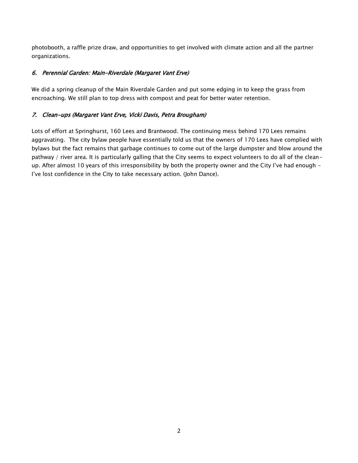photobooth, a raffle prize draw, and opportunities to get involved with climate action and all the partner organizations.

# 6. Perennial Garden: Main-Riverdale (Margaret Vant Erve)

We did a spring cleanup of the Main Riverdale Garden and put some edging in to keep the grass from encroaching. We still plan to top dress with compost and peat for better water retention.

# 7. Clean-ups (Margaret Vant Erve, Vicki Davis, Petra Brougham)

Lots of effort at Springhurst, 160 Lees and Brantwood. The continuing mess behind 170 Lees remains aggravating. The city bylaw people have essentially told us that the owners of 170 Lees have complied with bylaws but the fact remains that garbage continues to come out of the large dumpster and blow around the pathway / river area. It is particularly galling that the City seems to expect volunteers to do all of the cleanup. After almost 10 years of this irresponsibility by both the property owner and the City I've had enough - I've lost confidence in the City to take necessary action. (John Dance).